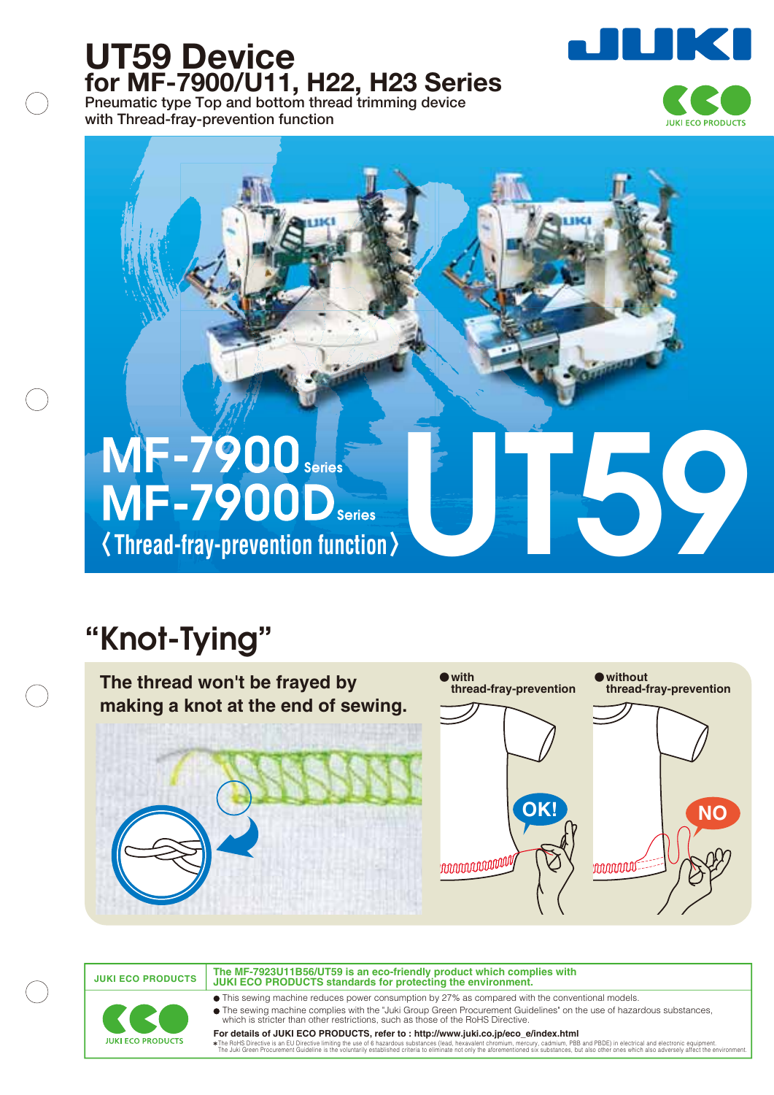## **UT59 Device for MF-7900/U11, H22, H23 Series**

**Pneumatic type Top and bottom thread trimming device with Thread-fray-prevention function**



# 〈 〉 **Thread-fray-prevention functionUT59**

# **"Knot-Tying"**



## **JUKI ECO PRODUCTS The MF-7923U11B56/UT59 is an eco-friendly product which complies with JUKI ECO PRODUCTS standards for protecting the environment.**



This sewing machine reduces power consumption by 27% as compared with the conventional models. The sewing machine complies with the "Juki Group Green Procurement Guidelines" on the use of hazardous substances, which is stricter than other restrictions, such as those of the RoHS Directive.

**For details of JUKI ECO PRODUCTS, refer to : http://www.juki.co.jp/eco\_e/index.html** The RoHS Directive is an EU Directive limiting the use of 6 hazardous substances (lead, hexavalem thromium, mercury, cadmium, PBB and PBDE) in electrical and electronic equipment.<br>The Juki Green Procurement Guideline is th